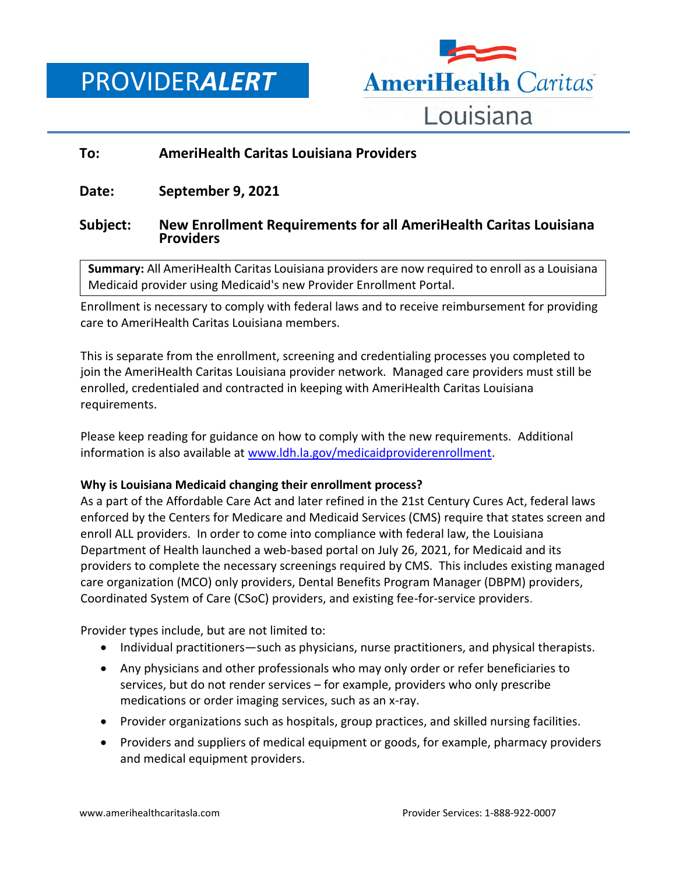PROVIDER*ALERT*



# **To: AmeriHealth Caritas Louisiana Providers**

**Date: September 9, 2021**

## **Subject: New Enrollment Requirements for all AmeriHealth Caritas Louisiana Providers**

**Summary:** All AmeriHealth Caritas Louisiana providers are now required to enroll as a Louisiana Medicaid provider using Medicaid's new Provider Enrollment Portal.

Enrollment is necessary to comply with federal laws and to receive reimbursement for providing care to AmeriHealth Caritas Louisiana members.

This is separate from the enrollment, screening and credentialing processes you completed to join the AmeriHealth Caritas Louisiana provider network. Managed care providers must still be enrolled, credentialed and contracted in keeping with AmeriHealth Caritas Louisiana requirements.

Please keep reading for guidance on how to comply with the new requirements. Additional information is also available at [www.ldh.la.gov/medicaidproviderenrollment.](http://www.ldh.la.gov/medicaidproviderenrollment)

## **Why is Louisiana Medicaid changing their enrollment process?**

As a part of the Affordable Care Act and later refined in the 21st Century Cures Act, federal laws enforced by the Centers for Medicare and Medicaid Services (CMS) require that states screen and enroll ALL providers. In order to come into compliance with federal law, the Louisiana Department of Health launched a web-based portal on July 26, 2021, for Medicaid and its providers to complete the necessary screenings required by CMS. This includes existing managed care organization (MCO) only providers, Dental Benefits Program Manager (DBPM) providers, Coordinated System of Care (CSoC) providers, and existing fee-for-service providers.

Provider types include, but are not limited to:

- Individual practitioners—such as physicians, nurse practitioners, and physical therapists.
- Any physicians and other professionals who may only order or refer beneficiaries to services, but do not render services – for example, providers who only prescribe medications or order imaging services, such as an x-ray.
- Provider organizations such as hospitals, group practices, and skilled nursing facilities.
- Providers and suppliers of medical equipment or goods, for example, pharmacy providers and medical equipment providers.